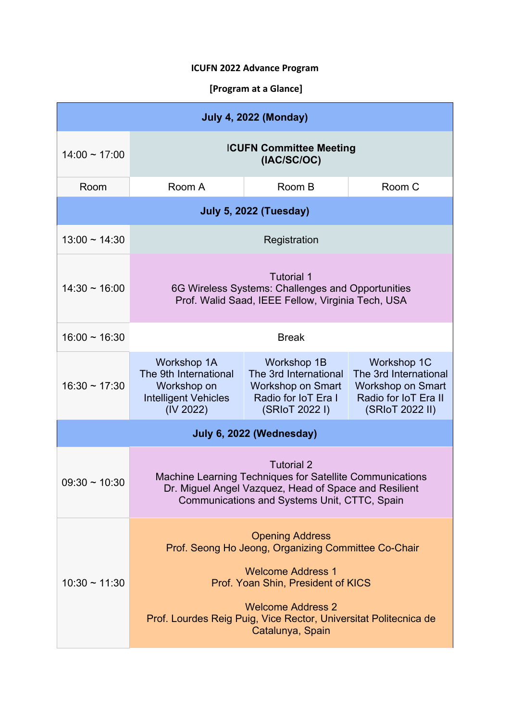# **ICUFN 2022 Advance Program**

# **[Program at a Glance]**

| <b>July 4, 2022 (Monday)</b>  |                                                                                                                                                                                                                                                                     |                                                                                                                  |                                                                                                             |  |  |  |
|-------------------------------|---------------------------------------------------------------------------------------------------------------------------------------------------------------------------------------------------------------------------------------------------------------------|------------------------------------------------------------------------------------------------------------------|-------------------------------------------------------------------------------------------------------------|--|--|--|
| $14:00 \sim 17:00$            | <b>ICUFN Committee Meeting</b><br>(IAC/SC/OC)                                                                                                                                                                                                                       |                                                                                                                  |                                                                                                             |  |  |  |
| Room                          | Room A                                                                                                                                                                                                                                                              | Room B                                                                                                           | Room C                                                                                                      |  |  |  |
| <b>July 5, 2022 (Tuesday)</b> |                                                                                                                                                                                                                                                                     |                                                                                                                  |                                                                                                             |  |  |  |
| $13:00 \sim 14:30$            | Registration                                                                                                                                                                                                                                                        |                                                                                                                  |                                                                                                             |  |  |  |
| $14:30 \sim 16:00$            | <b>Tutorial 1</b><br>6G Wireless Systems: Challenges and Opportunities<br>Prof. Walid Saad, IEEE Fellow, Virginia Tech, USA                                                                                                                                         |                                                                                                                  |                                                                                                             |  |  |  |
| $16:00 \sim 16:30$            | <b>Break</b>                                                                                                                                                                                                                                                        |                                                                                                                  |                                                                                                             |  |  |  |
| $16:30 \sim 17:30$            | <b>Workshop 1A</b><br>The 9th International<br>Workshop on<br><b>Intelligent Vehicles</b><br>(IV 2022)                                                                                                                                                              | <b>Workshop 1B</b><br>The 3rd International<br><b>Workshop on Smart</b><br>Radio for IoT Era I<br>(SRIoT 2022 I) | Workshop 1C<br>The 3rd International<br><b>Workshop on Smart</b><br>Radio for IoT Era II<br>(SRIoT 2022 II) |  |  |  |
| July 6, 2022 (Wednesday)      |                                                                                                                                                                                                                                                                     |                                                                                                                  |                                                                                                             |  |  |  |
| $09:30 \sim 10:30$            | <b>Tutorial 2</b><br>Machine Learning Techniques for Satellite Communications<br>Dr. Miguel Angel Vazquez, Head of Space and Resilient<br>Communications and Systems Unit, CTTC, Spain                                                                              |                                                                                                                  |                                                                                                             |  |  |  |
| $10:30 \sim 11:30$            | <b>Opening Address</b><br>Prof. Seong Ho Jeong, Organizing Committee Co-Chair<br><b>Welcome Address 1</b><br>Prof. Yoan Shin, President of KICS<br><b>Welcome Address 2</b><br>Prof. Lourdes Reig Puig, Vice Rector, Universitat Politecnica de<br>Catalunya, Spain |                                                                                                                  |                                                                                                             |  |  |  |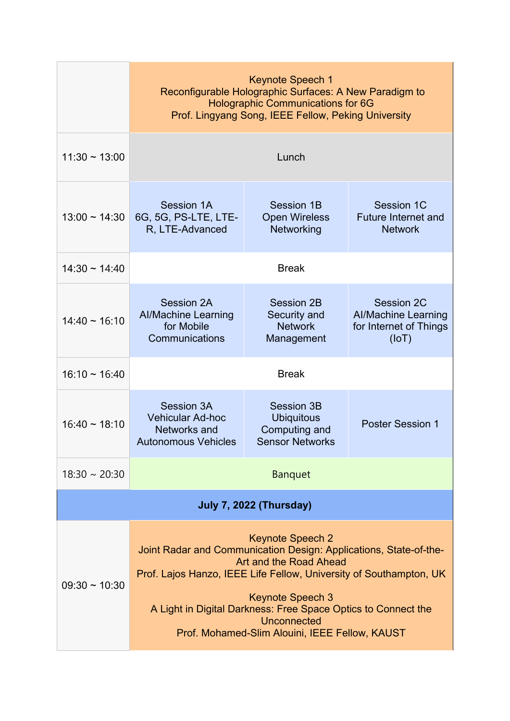|                                | <b>Keynote Speech 1</b><br>Reconfigurable Holographic Surfaces: A New Paradigm to<br><b>Holographic Communications for 6G</b><br>Prof. Lingyang Song, IEEE Fellow, Peking University                                                                                                                                                                      |                                                                                   |                                                                                    |  |  |  |
|--------------------------------|-----------------------------------------------------------------------------------------------------------------------------------------------------------------------------------------------------------------------------------------------------------------------------------------------------------------------------------------------------------|-----------------------------------------------------------------------------------|------------------------------------------------------------------------------------|--|--|--|
| $11:30 - 13:00$                | Lunch                                                                                                                                                                                                                                                                                                                                                     |                                                                                   |                                                                                    |  |  |  |
| $13:00 \sim 14:30$             | Session 1A<br>6G, 5G, PS-LTE, LTE-<br>R, LTE-Advanced                                                                                                                                                                                                                                                                                                     | Session 1B<br><b>Open Wireless</b><br>Networking                                  | <b>Session 1C</b><br><b>Future Internet and</b><br><b>Network</b>                  |  |  |  |
| $14:30 \sim 14:40$             | <b>Break</b>                                                                                                                                                                                                                                                                                                                                              |                                                                                   |                                                                                    |  |  |  |
| $14:40 \sim 16:10$             | <b>Session 2A</b><br><b>Al/Machine Learning</b><br>for Mobile<br>Communications                                                                                                                                                                                                                                                                           | Session 2B<br>Security and<br><b>Network</b><br>Management                        | <b>Session 2C</b><br><b>Al/Machine Learning</b><br>for Internet of Things<br>(IOT) |  |  |  |
| $16:10 \sim 16:40$             | <b>Break</b>                                                                                                                                                                                                                                                                                                                                              |                                                                                   |                                                                                    |  |  |  |
| $16:40 \sim 18:10$             | <b>Session 3A</b><br><b>Vehicular Ad-hoc</b><br>Networks and<br><b>Autonomous Vehicles</b>                                                                                                                                                                                                                                                                | <b>Session 3B</b><br><b>Ubiquitous</b><br>Computing and<br><b>Sensor Networks</b> | <b>Poster Session 1</b>                                                            |  |  |  |
| $18:30 \sim 20:30$             | <b>Banquet</b>                                                                                                                                                                                                                                                                                                                                            |                                                                                   |                                                                                    |  |  |  |
| <b>July 7, 2022 (Thursday)</b> |                                                                                                                                                                                                                                                                                                                                                           |                                                                                   |                                                                                    |  |  |  |
| $09:30 \sim 10:30$             | <b>Keynote Speech 2</b><br>Joint Radar and Communication Design: Applications, State-of-the-<br>Art and the Road Ahead<br>Prof. Lajos Hanzo, IEEE Life Fellow, University of Southampton, UK<br><b>Keynote Speech 3</b><br>A Light in Digital Darkness: Free Space Optics to Connect the<br>Unconnected<br>Prof. Mohamed-Slim Alouini, IEEE Fellow, KAUST |                                                                                   |                                                                                    |  |  |  |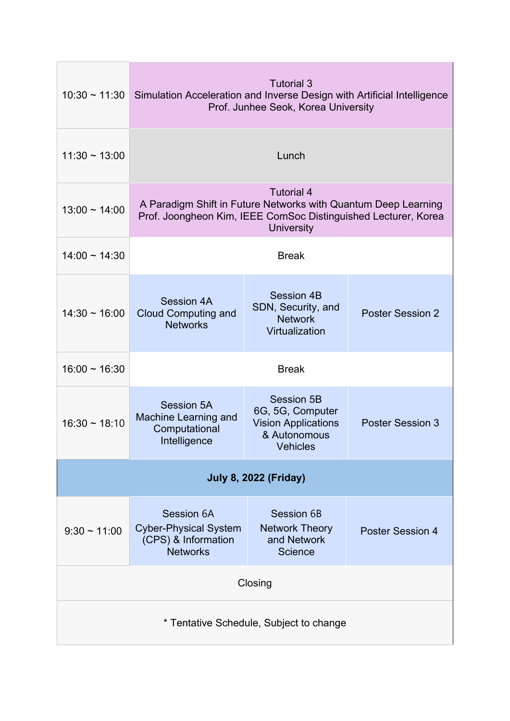| $10:30 \sim 11:30$                      | <b>Tutorial 3</b><br>Simulation Acceleration and Inverse Design with Artificial Intelligence<br>Prof. Junhee Seok, Korea University                                        |                                                                                                        |                         |  |  |  |
|-----------------------------------------|----------------------------------------------------------------------------------------------------------------------------------------------------------------------------|--------------------------------------------------------------------------------------------------------|-------------------------|--|--|--|
| $11:30 \sim 13:00$                      | Lunch                                                                                                                                                                      |                                                                                                        |                         |  |  |  |
| $13:00 \sim 14:00$                      | <b>Tutorial 4</b><br>A Paradigm Shift in Future Networks with Quantum Deep Learning<br>Prof. Joongheon Kim, IEEE ComSoc Distinguished Lecturer, Korea<br><b>University</b> |                                                                                                        |                         |  |  |  |
| $14:00 \sim 14:30$                      | <b>Break</b>                                                                                                                                                               |                                                                                                        |                         |  |  |  |
| $14:30 - 16:00$                         | <b>Session 4A</b><br><b>Cloud Computing and</b><br><b>Networks</b>                                                                                                         | <b>Session 4B</b><br>SDN, Security, and<br><b>Network</b><br>Virtualization                            | <b>Poster Session 2</b> |  |  |  |
| $16:00 \sim 16:30$                      | <b>Break</b>                                                                                                                                                               |                                                                                                        |                         |  |  |  |
| $16:30 \sim 18:10$                      | Session 5A<br>Machine Learning and<br>Computational<br>Intelligence                                                                                                        | <b>Session 5B</b><br>6G, 5G, Computer<br><b>Vision Applications</b><br>& Autonomous<br><b>Vehicles</b> | <b>Poster Session 3</b> |  |  |  |
| <b>July 8, 2022 (Friday)</b>            |                                                                                                                                                                            |                                                                                                        |                         |  |  |  |
| $9:30 \sim 11:00$                       | Session 6A<br><b>Cyber-Physical System</b><br>(CPS) & Information<br><b>Networks</b>                                                                                       | Session 6B<br><b>Network Theory</b><br>and Network<br><b>Science</b>                                   | <b>Poster Session 4</b> |  |  |  |
| Closing                                 |                                                                                                                                                                            |                                                                                                        |                         |  |  |  |
| * Tentative Schedule, Subject to change |                                                                                                                                                                            |                                                                                                        |                         |  |  |  |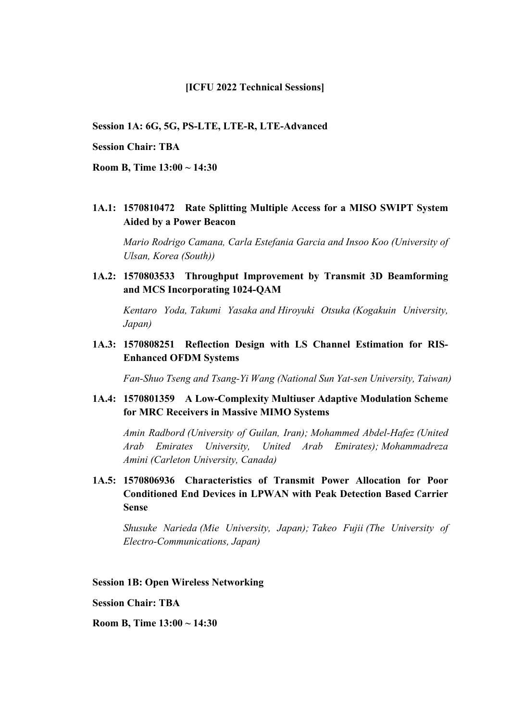#### **[ICFU 2022 Technical Sessions]**

**Session 1A: 6G, 5G, PS-LTE, LTE-R, LTE-Advanced**

#### **Session Chair: TBA**

**Room B, Time 13:00 ~ 14:30**

**1A.1: 1570810472 Rate Splitting Multiple Access for a MISO SWIPT System Aided by a Power Beacon**

*Mario Rodrigo Camana, Carla Estefania Garcia and Insoo Koo (University of Ulsan, Korea (South))*

**1A.2: 1570803533 Throughput Improvement by Transmit 3D Beamforming and MCS Incorporating 1024-QAM**

*Kentaro Yoda, Takumi Yasaka and Hiroyuki Otsuka (Kogakuin University, Japan)*

**1A.3: 1570808251 Reflection Design with LS Channel Estimation for RIS-Enhanced OFDM Systems**

*Fan-Shuo Tseng and Tsang-Yi Wang (National Sun Yat-sen University, Taiwan)*

### **1A.4: 1570801359 A Low-Complexity Multiuser Adaptive Modulation Scheme for MRC Receivers in Massive MIMO Systems**

*Amin Radbord (University of Guilan, Iran); Mohammed Abdel-Hafez (United Arab Emirates University, United Arab Emirates); Mohammadreza Amini (Carleton University, Canada)*

**1A.5: 1570806936 Characteristics of Transmit Power Allocation for Poor Conditioned End Devices in LPWAN with Peak Detection Based Carrier Sense** 

*Shusuke Narieda (Mie University, Japan); Takeo Fujii (The University of Electro-Communications, Japan)*

**Session 1B: Open Wireless Networking**

**Session Chair: TBA**

**Room B, Time 13:00 ~ 14:30**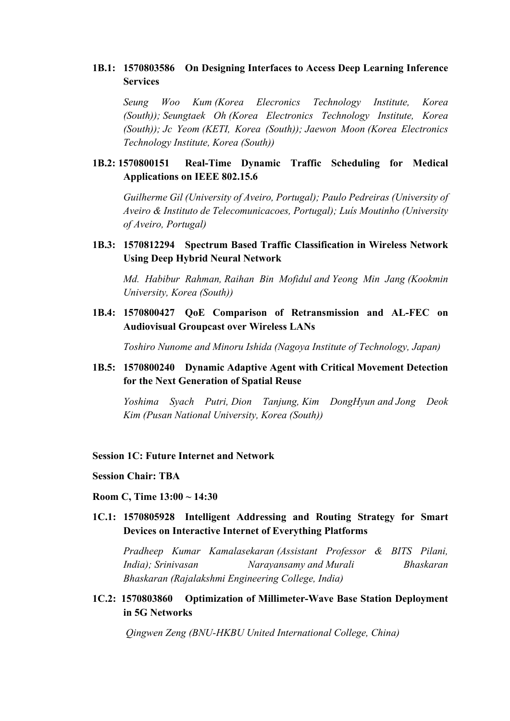## **1B.1: 1570803586 On Designing Interfaces to Access Deep Learning Inference Services**

*Seung Woo Kum (Korea Elecronics Technology Institute, Korea (South)); Seungtaek Oh (Korea Electronics Technology Institute, Korea (South)); Jc Yeom (KETI, Korea (South)); Jaewon Moon (Korea Electronics Technology Institute, Korea (South))*

## **1B.2: 1570800151 Real-Time Dynamic Traffic Scheduling for Medical Applications on IEEE 802.15.6**

*Guilherme Gil (University of Aveiro, Portugal); Paulo Pedreiras (University of Aveiro & Instituto de Telecomunicacoes, Portugal); Luís Moutinho (University of Aveiro, Portugal)*

## **1B.3: 1570812294 Spectrum Based Traffic Classification in Wireless Network Using Deep Hybrid Neural Network**

*Md. Habibur Rahman, Raihan Bin Mofidul and Yeong Min Jang (Kookmin University, Korea (South))* 

**1B.4: 1570800427 QoE Comparison of Retransmission and AL-FEC on Audiovisual Groupcast over Wireless LANs** 

*Toshiro Nunome and Minoru Ishida (Nagoya Institute of Technology, Japan)*

**1B.5: 1570800240 Dynamic Adaptive Agent with Critical Movement Detection for the Next Generation of Spatial Reuse** 

*Yoshima Syach Putri, Dion Tanjung, Kim DongHyun and Jong Deok Kim (Pusan National University, Korea (South))* 

### **Session 1C: Future Internet and Network**

- **Session Chair: TBA**
- **Room C, Time 13:00 ~ 14:30**
- **1C.1: 1570805928 Intelligent Addressing and Routing Strategy for Smart Devices on Interactive Internet of Everything Platforms**

*Pradheep Kumar Kamalasekaran (Assistant Professor & BITS Pilani, India); Srinivasan Narayansamy and Murali Bhaskaran Bhaskaran (Rajalakshmi Engineering College, India)*

**1C.2: 1570803860 Optimization of Millimeter-Wave Base Station Deployment in 5G Networks** 

*Qingwen Zeng (BNU-HKBU United International College, China)*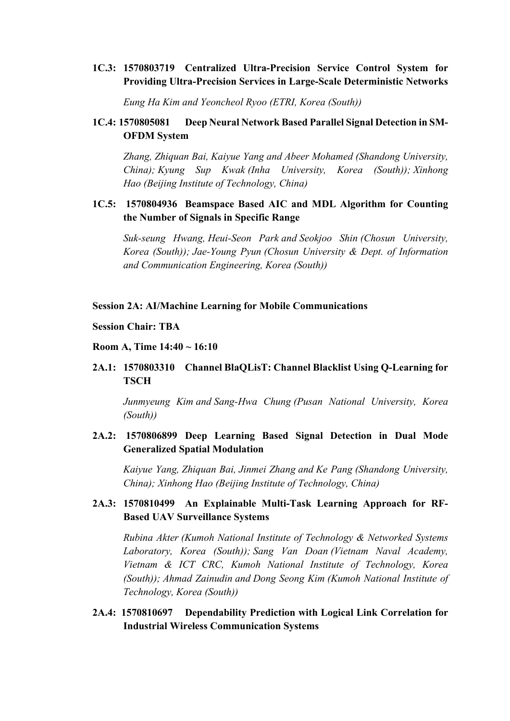## **1C.3: 1570803719 Centralized Ultra-Precision Service Control System for Providing Ultra-Precision Services in Large-Scale Deterministic Networks**

*Eung Ha Kim and Yeoncheol Ryoo (ETRI, Korea (South))*

## **1C.4: 1570805081 Deep Neural Network Based Parallel Signal Detection in SM-OFDM System**

*Zhang, Zhiquan Bai, Kaiyue Yang and Abeer Mohamed (Shandong University, China); Kyung Sup Kwak (Inha University, Korea (South)); Xinhong Hao (Beijing Institute of Technology, China)*

## **1C.5: 1570804936 Beamspace Based AIC and MDL Algorithm for Counting the Number of Signals in Specific Range**

*Suk-seung Hwang, Heui-Seon Park and Seokjoo Shin (Chosun University, Korea (South)); Jae-Young Pyun (Chosun University & Dept. of Information and Communication Engineering, Korea (South))*

## **Session 2A: AI/Machine Learning for Mobile Communications**

#### **Session Chair: TBA**

#### **Room A, Time 14:40 ~ 16:10**

## **2A.1: 1570803310 Channel BlaQLisT: Channel Blacklist Using Q-Learning for TSCH**

*Junmyeung Kim and Sang-Hwa Chung (Pusan National University, Korea (South))* 

## **2A.2: 1570806899 Deep Learning Based Signal Detection in Dual Mode Generalized Spatial Modulation**

*Kaiyue Yang, Zhiquan Bai, Jinmei Zhang and Ke Pang (Shandong University, China); Xinhong Hao (Beijing Institute of Technology, China)*

### **2A.3: 1570810499 An Explainable Multi-Task Learning Approach for RF-Based UAV Surveillance Systems**

*Rubina Akter (Kumoh National Institute of Technology & Networked Systems Laboratory, Korea (South)); Sang Van Doan (Vietnam Naval Academy, Vietnam & ICT CRC, Kumoh National Institute of Technology, Korea (South)); Ahmad Zainudin and Dong Seong Kim (Kumoh National Institute of Technology, Korea (South))* 

## **2A.4: 1570810697 Dependability Prediction with Logical Link Correlation for Industrial Wireless Communication Systems**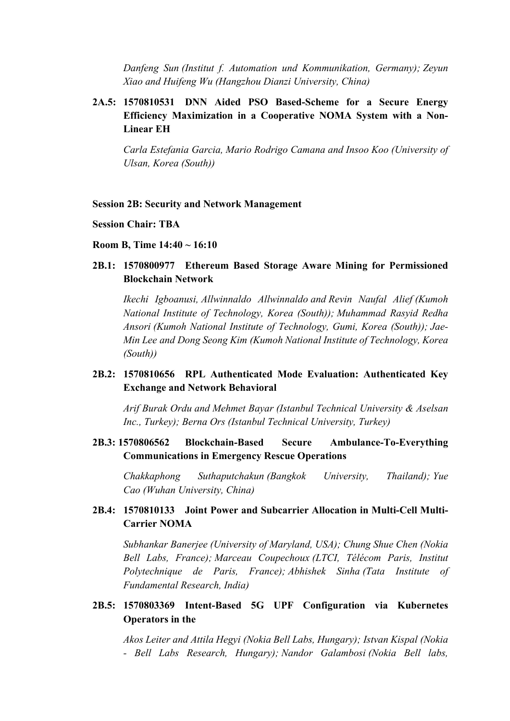*Danfeng Sun (Institut f. Automation und Kommunikation, Germany); Zeyun Xiao and Huifeng Wu (Hangzhou Dianzi University, China)*

# **2A.5: 1570810531 DNN Aided PSO Based-Scheme for a Secure Energy Efficiency Maximization in a Cooperative NOMA System with a Non-Linear EH**

*Carla Estefania Garcia, Mario Rodrigo Camana and Insoo Koo (University of Ulsan, Korea (South))*

#### **Session 2B: Security and Network Management**

#### **Session Chair: TBA**

#### **Room B, Time 14:40 ~ 16:10**

## **2B.1: 1570800977 Ethereum Based Storage Aware Mining for Permissioned Blockchain Network**

*Ikechi Igboanusi, Allwinnaldo Allwinnaldo and Revin Naufal Alief (Kumoh National Institute of Technology, Korea (South)); Muhammad Rasyid Redha Ansori (Kumoh National Institute of Technology, Gumi, Korea (South)); Jae-Min Lee and Dong Seong Kim (Kumoh National Institute of Technology, Korea (South))*

# **2B.2: 1570810656 RPL Authenticated Mode Evaluation: Authenticated Key Exchange and Network Behavioral**

*Arif Burak Ordu and Mehmet Bayar (Istanbul Technical University & Aselsan Inc., Turkey); Berna Ors (Istanbul Technical University, Turkey)*

### **2B.3: 1570806562 Blockchain-Based Secure Ambulance-To-Everything Communications in Emergency Rescue Operations**

*Chakkaphong Suthaputchakun (Bangkok University, Thailand); Yue Cao (Wuhan University, China)*

## **2B.4: 1570810133 Joint Power and Subcarrier Allocation in Multi-Cell Multi-Carrier NOMA**

*Subhankar Banerjee (University of Maryland, USA); Chung Shue Chen (Nokia Bell Labs, France); Marceau Coupechoux (LTCI, Télécom Paris, Institut Polytechnique de Paris, France); Abhishek Sinha (Tata Institute of Fundamental Research, India)*

# **2B.5: 1570803369 Intent-Based 5G UPF Configuration via Kubernetes Operators in the**

*Akos Leiter and Attila Hegyi (Nokia Bell Labs, Hungary); Istvan Kispal (Nokia - Bell Labs Research, Hungary); Nandor Galambosi (Nokia Bell labs,*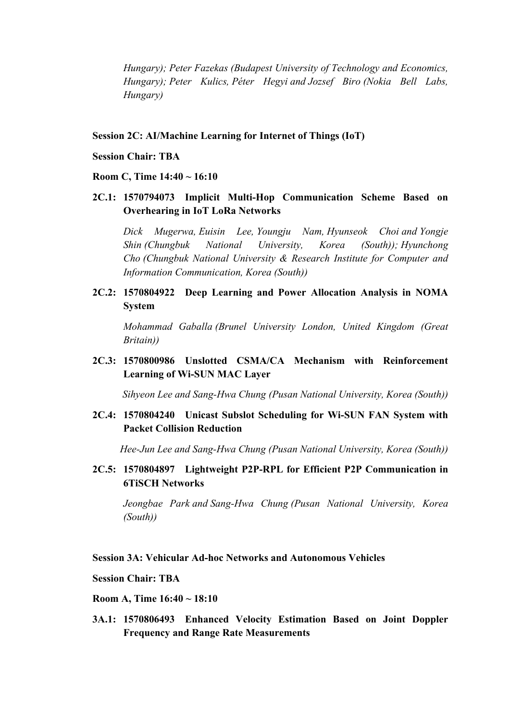*Hungary); Peter Fazekas (Budapest University of Technology and Economics, Hungary); Peter Kulics, Péter Hegyi and Jozsef Biro (Nokia Bell Labs, Hungary)*

### **Session 2C: AI/Machine Learning for Internet of Things (IoT)**

- **Session Chair: TBA**
- **Room C, Time 14:40 ~ 16:10**
- **2C.1: 1570794073 Implicit Multi-Hop Communication Scheme Based on Overhearing in IoT LoRa Networks**

*Dick Mugerwa, Euisin Lee, Youngju Nam, Hyunseok Choi and Yongje Shin (Chungbuk National University, Korea (South)); Hyunchong Cho (Chungbuk National University & Research Institute for Computer and Information Communication, Korea (South))*

**2C.2: 1570804922 Deep Learning and Power Allocation Analysis in NOMA System** 

*Mohammad Gaballa (Brunel University London, United Kingdom (Great Britain))*

**2C.3: 1570800986 Unslotted CSMA/CA Mechanism with Reinforcement Learning of Wi-SUN MAC Layer**

*Sihyeon Lee and Sang-Hwa Chung (Pusan National University, Korea (South))*

**2C.4: 1570804240 Unicast Subslot Scheduling for Wi-SUN FAN System with Packet Collision Reduction** 

*Hee-Jun Lee and Sang-Hwa Chung (Pusan National University, Korea (South))*

**2C.5: 1570804897 Lightweight P2P-RPL for Efficient P2P Communication in 6TiSCH Networks** 

*Jeongbae Park and Sang-Hwa Chung (Pusan National University, Korea (South))*

### **Session 3A: Vehicular Ad-hoc Networks and Autonomous Vehicles**

### **Session Chair: TBA**

**Room A, Time 16:40 ~ 18:10**

**3A.1: 1570806493 Enhanced Velocity Estimation Based on Joint Doppler Frequency and Range Rate Measurements**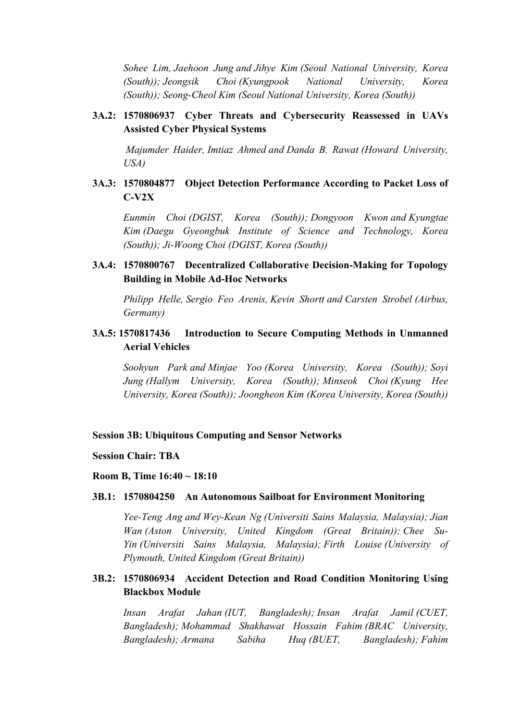*Sohee Lim, Jaehoon Jung and Jihye Kim (Seoul National University, Korea (South)); Jeongsik Choi (Kyungpook National University, Korea (South)); Seong-Cheol Kim (Seoul National University, Korea (South))*

## **3A.2: 1570806937 Cyber Threats and Cybersecurity Reassessed in UAVs Assisted Cyber Physical Systems**

*Majumder Haider, Imtiaz Ahmed and Danda B. Rawat (Howard University, USA)*

# **3A.3: 1570804877 Object Detection Performance According to Packet Loss of C-V2X**

*Eunmin Choi (DGIST, Korea (South)); Dongyoon Kwon and Kyungtae Kim (Daegu Gyeongbuk Institute of Science and Technology, Korea (South)); Ji-Woong Choi (DGIST, Korea (South))*

# **3A.4: 1570800767 Decentralized Collaborative Decision-Making for Topology Building in Mobile Ad-Hoc Networks**

*Philipp Helle, Sergio Feo Arenis, Kevin Shortt and Carsten Strobel (Airbus, Germany)*

# **3A.5: 1570817436 Introduction to Secure Computing Methods in Unmanned Aerial Vehicles**

*Soohyun Park and Minjae Yoo (Korea University, Korea (South)); Soyi Jung (Hallym University, Korea (South)); Minseok Choi (Kyung Hee University, Korea (South)); Joongheon Kim (Korea University, Korea (South))*

#### **Session 3B: Ubiquitous Computing and Sensor Networks**

#### **Session Chair: TBA**

#### **Room B, Time 16:40 ~ 18:10**

#### **3B.1: 1570804250 An Autonomous Sailboat for Environment Monitoring**

*Yee-Teng Ang and Wey-Kean Ng (Universiti Sains Malaysia, Malaysia); Jian Wan (Aston University, United Kingdom (Great Britain)); Chee Su-Yin (Universiti Sains Malaysia, Malaysia); Firth Louise (University of Plymouth, United Kingdom (Great Britain))*

## **3B.2: 1570806934 Accident Detection and Road Condition Monitoring Using Blackbox Module**

*Insan Arafat Jahan (IUT, Bangladesh); Insan Arafat Jamil (CUET, Bangladesh); Mohammad Shakhawat Hossain Fahim (BRAC University, Bangladesh); Armana Sabiha Huq (BUET, Bangladesh); Fahim*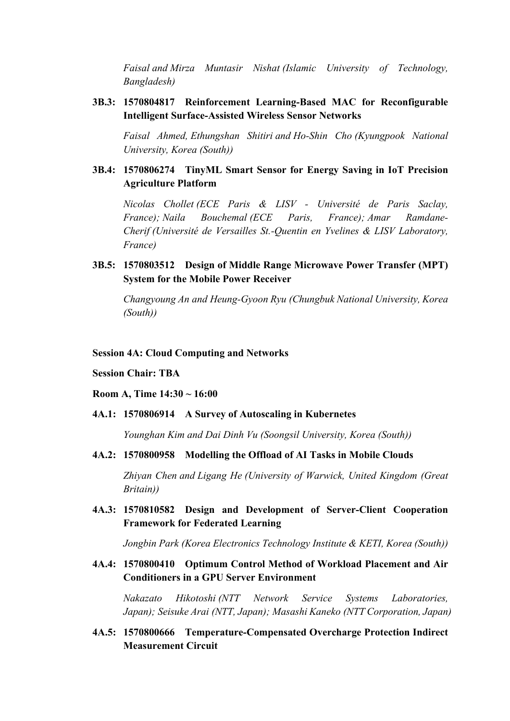*Faisal and Mirza Muntasir Nishat (Islamic University of Technology, Bangladesh)*

### **3B.3: 1570804817 Reinforcement Learning-Based MAC for Reconfigurable Intelligent Surface-Assisted Wireless Sensor Networks**

*Faisal Ahmed, Ethungshan Shitiri and Ho-Shin Cho (Kyungpook National University, Korea (South))*

## **3B.4: 1570806274 TinyML Smart Sensor for Energy Saving in IoT Precision Agriculture Platform**

*Nicolas Chollet (ECE Paris & LISV - Université de Paris Saclay, France); Naila Bouchemal (ECE Paris, France); Amar Ramdane-Cherif (Université de Versailles St.-Quentin en Yvelines & LISV Laboratory, France)*

# **3B.5: 1570803512 Design of Middle Range Microwave Power Transfer (MPT) System for the Mobile Power Receiver**

*Changyoung An and Heung-Gyoon Ryu (Chungbuk National University, Korea (South))*

#### **Session 4A: Cloud Computing and Networks**

#### **Session Chair: TBA**

#### **Room A, Time 14:30 ~ 16:00**

### **4A.1: 1570806914 A Survey of Autoscaling in Kubernetes**

*Younghan Kim and Dai Dinh Vu (Soongsil University, Korea (South))*

### **4A.2: 1570800958 Modelling the Offload of AI Tasks in Mobile Clouds**

*Zhiyan Chen and Ligang He (University of Warwick, United Kingdom (Great Britain))*

**4A.3: 1570810582 Design and Development of Server-Client Cooperation Framework for Federated Learning** 

*Jongbin Park (Korea Electronics Technology Institute & KETI, Korea (South))*

### **4A.4: 1570800410 Optimum Control Method of Workload Placement and Air Conditioners in a GPU Server Environment**

*Nakazato Hikotoshi (NTT Network Service Systems Laboratories, Japan); Seisuke Arai (NTT, Japan); Masashi Kaneko (NTT Corporation, Japan)*

**4A.5: 1570800666 Temperature-Compensated Overcharge Protection Indirect Measurement Circuit**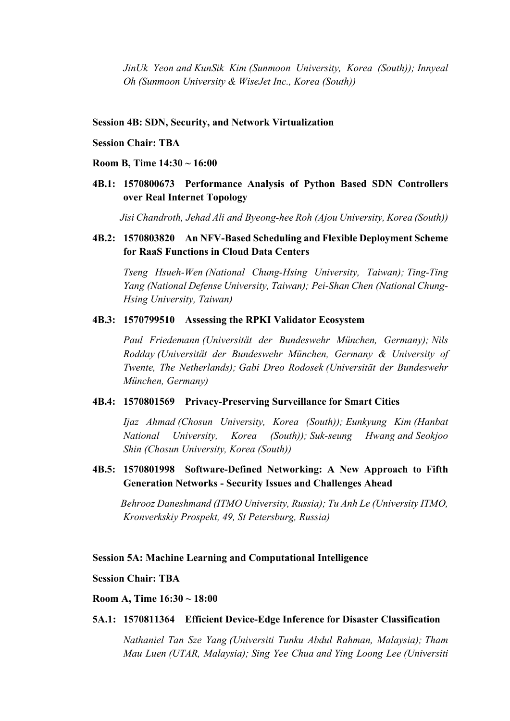*JinUk Yeon and KunSik Kim (Sunmoon University, Korea (South)); Innyeal Oh (Sunmoon University & WiseJet Inc., Korea (South))*

#### **Session 4B: SDN, Security, and Network Virtualization**

#### **Session Chair: TBA**

#### **Room B, Time 14:30 ~ 16:00**

**4B.1: 1570800673 Performance Analysis of Python Based SDN Controllers over Real Internet Topology**

*Jisi Chandroth, Jehad Ali and Byeong-hee Roh (Ajou University, Korea (South))*

### **4B.2: 1570803820 An NFV-Based Scheduling and Flexible Deployment Scheme for RaaS Functions in Cloud Data Centers**

*Tseng Hsueh-Wen (National Chung-Hsing University, Taiwan); Ting-Ting Yang (National Defense University, Taiwan); Pei-Shan Chen (National Chung-Hsing University, Taiwan)*

#### **4B.3: 1570799510 Assessing the RPKI Validator Ecosystem**

*Paul Friedemann (Universität der Bundeswehr München, Germany); Nils Rodday (Universität der Bundeswehr München, Germany & University of Twente, The Netherlands); Gabi Dreo Rodosek (Universität der Bundeswehr München, Germany)*

#### **4B.4: 1570801569 Privacy-Preserving Surveillance for Smart Cities**

*Ijaz Ahmad (Chosun University, Korea (South)); Eunkyung Kim (Hanbat National University, Korea (South)); Suk-seung Hwang and Seokjoo Shin (Chosun University, Korea (South))*

## **4B.5: 1570801998 Software-Defined Networking: A New Approach to Fifth Generation Networks - Security Issues and Challenges Ahead**

*Behrooz Daneshmand (ITMO University, Russia); Tu Anh Le (University ITMO, Kronverkskiy Prospekt, 49, St Petersburg, Russia)*

#### **Session 5A: Machine Learning and Computational Intelligence**

#### **Session Chair: TBA**

**Room A, Time 16:30 ~ 18:00**

#### **5A.1: 1570811364 Efficient Device-Edge Inference for Disaster Classification**

*Nathaniel Tan Sze Yang (Universiti Tunku Abdul Rahman, Malaysia); Tham Mau Luen (UTAR, Malaysia); Sing Yee Chua and Ying Loong Lee (Universiti*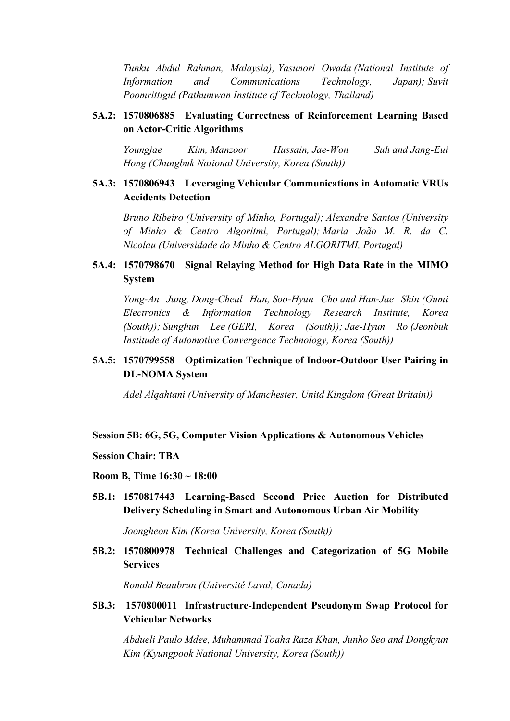*Tunku Abdul Rahman, Malaysia); Yasunori Owada (National Institute of Information and Communications Technology, Japan); Suvit Poomrittigul (Pathumwan Institute of Technology, Thailand)*

## **5A.2: 1570806885 Evaluating Correctness of Reinforcement Learning Based on Actor-Critic Algorithms**

*Youngjae Kim, Manzoor Hussain, Jae-Won Suh and Jang-Eui Hong (Chungbuk National University, Korea (South))*

# **5A.3: 1570806943 Leveraging Vehicular Communications in Automatic VRUs Accidents Detection**

*Bruno Ribeiro (University of Minho, Portugal); Alexandre Santos (University of Minho & Centro Algoritmi, Portugal); Maria João M. R. da C. Nicolau (Universidade do Minho & Centro ALGORITMI, Portugal)*

# **5A.4: 1570798670 Signal Relaying Method for High Data Rate in the MIMO System**

*Yong-An Jung, Dong-Cheul Han, Soo-Hyun Cho and Han-Jae Shin (Gumi Electronics & Information Technology Research Institute, Korea (South)); Sunghun Lee (GERI, Korea (South)); Jae-Hyun Ro (Jeonbuk Institude of Automotive Convergence Technology, Korea (South))*

# **5A.5: 1570799558 Optimization Technique of Indoor-Outdoor User Pairing in DL-NOMA System**

*Adel Alqahtani (University of Manchester, Unitd Kingdom (Great Britain))*

#### **Session 5B: 6G, 5G, Computer Vision Applications & Autonomous Vehicles**

#### **Session Chair: TBA**

#### **Room B, Time 16:30 ~ 18:00**

**5B.1: 1570817443 Learning-Based Second Price Auction for Distributed Delivery Scheduling in Smart and Autonomous Urban Air Mobility**

*Joongheon Kim (Korea University, Korea (South))*

**5B.2: 1570800978 Technical Challenges and Categorization of 5G Mobile Services**

*Ronald Beaubrun (Université Laval, Canada)*

### **5B.3: 1570800011 Infrastructure-Independent Pseudonym Swap Protocol for Vehicular Networks**

*Abdueli Paulo Mdee, Muhammad Toaha Raza Khan, Junho Seo and Dongkyun Kim (Kyungpook National University, Korea (South))*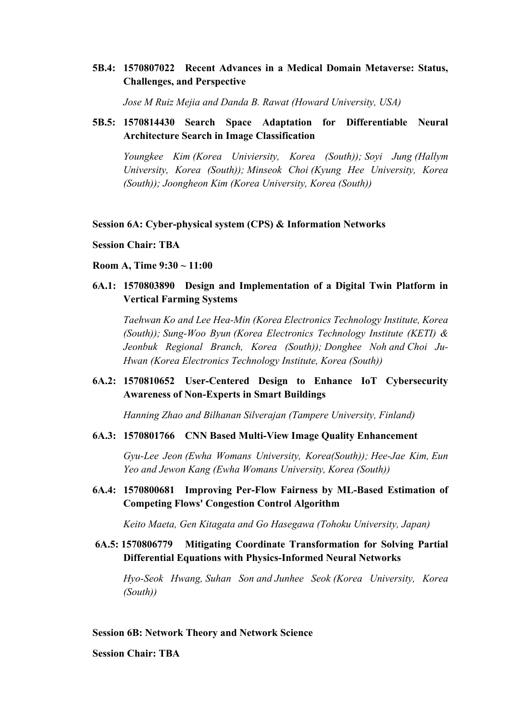## **5B.4: 1570807022 Recent Advances in a Medical Domain Metaverse: Status, Challenges, and Perspective**

*Jose M Ruiz Mejia and Danda B. Rawat (Howard University, USA)*

## **5B.5: 1570814430 Search Space Adaptation for Differentiable Neural Architecture Search in Image Classification**

*Youngkee Kim (Korea Univiersity, Korea (South)); Soyi Jung (Hallym University, Korea (South)); Minseok Choi (Kyung Hee University, Korea (South)); Joongheon Kim (Korea University, Korea (South))*

#### **Session 6A: Cyber-physical system (CPS) & Information Networks**

- **Session Chair: TBA**
- **Room A, Time 9:30 ~ 11:00**
- **6A.1: 1570803890 Design and Implementation of a Digital Twin Platform in Vertical Farming Systems**

*Taehwan Ko and Lee Hea-Min (Korea Electronics Technology Institute, Korea (South)); Sung-Woo Byun (Korea Electronics Technology Institute (KETI) & Jeonbuk Regional Branch, Korea (South)); Donghee Noh and Choi Ju-Hwan (Korea Electronics Technology Institute, Korea (South))*

## **6A.2: 1570810652 User-Centered Design to Enhance IoT Cybersecurity Awareness of Non-Experts in Smart Buildings**

*Hanning Zhao and Bilhanan Silverajan (Tampere University, Finland)*

### **6A.3: 1570801766 CNN Based Multi-View Image Quality Enhancement**

*Gyu-Lee Jeon (Ewha Womans University, Korea(South)); Hee-Jae Kim, Eun Yeo and Jewon Kang (Ewha Womans University, Korea (South))*

**6A.4: 1570800681 Improving Per-Flow Fairness by ML-Based Estimation of Competing Flows' Congestion Control Algorithm** 

*Keito Maeta, Gen Kitagata and Go Hasegawa (Tohoku University, Japan)*

**6A.5: 1570806779 Mitigating Coordinate Transformation for Solving Partial Differential Equations with Physics-Informed Neural Networks**

*Hyo-Seok Hwang, Suhan Son and Junhee Seok (Korea University, Korea (South))*

## **Session 6B: Network Theory and Network Science**

**Session Chair: TBA**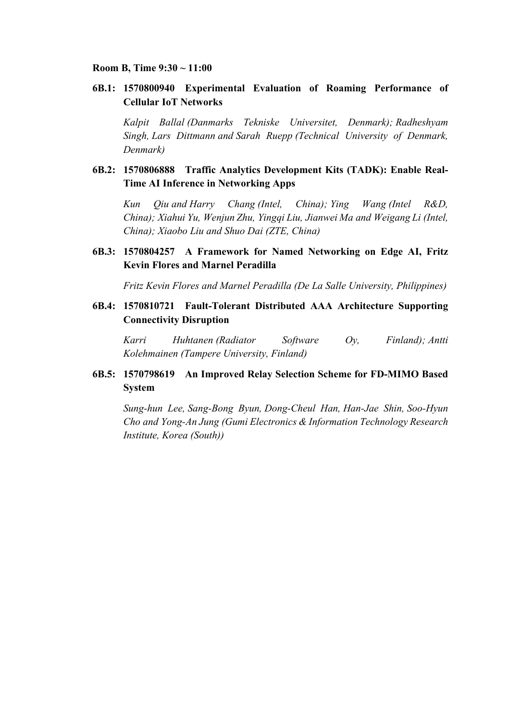#### **Room B, Time 9:30 ~ 11:00**

### **6B.1: 1570800940 Experimental Evaluation of Roaming Performance of Cellular IoT Networks**

*Kalpit Ballal (Danmarks Tekniske Universitet, Denmark); Radheshyam Singh, Lars Dittmann and Sarah Ruepp (Technical University of Denmark, Denmark)*

## **6B.2: 1570806888 Traffic Analytics Development Kits (TADK): Enable Real-Time AI Inference in Networking Apps**

*Kun Qiu and Harry Chang (Intel, China); Ying Wang (Intel R&D, China); Xiahui Yu, Wenjun Zhu, Yingqi Liu, Jianwei Ma and Weigang Li (Intel, China); Xiaobo Liu and Shuo Dai (ZTE, China)*

# **6B.3: 1570804257 A Framework for Named Networking on Edge AI, Fritz Kevin Flores and Marnel Peradilla**

*Fritz Kevin Flores and Marnel Peradilla (De La Salle University, Philippines)*

**6B.4: 1570810721 Fault-Tolerant Distributed AAA Architecture Supporting Connectivity Disruption**

*Karri Huhtanen (Radiator Software Oy, Finland); Antti Kolehmainen (Tampere University, Finland)*

# **6B.5: 1570798619 An Improved Relay Selection Scheme for FD-MIMO Based System**

*Sung-hun Lee, Sang-Bong Byun, Dong-Cheul Han, Han-Jae Shin, Soo-Hyun Cho and Yong-An Jung (Gumi Electronics & Information Technology Research Institute, Korea (South))*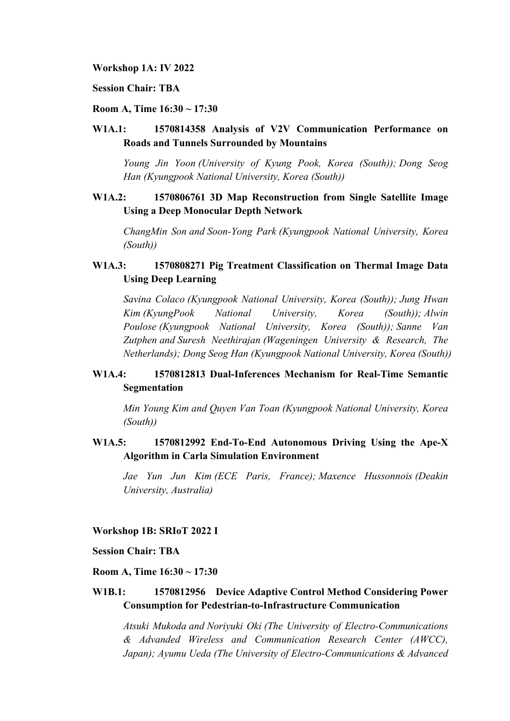**Workshop 1A: IV 2022**

**Session Chair: TBA**

#### **Room A, Time 16:30 ~ 17:30**

# **W1A.1: 1570814358 Analysis of V2V Communication Performance on Roads and Tunnels Surrounded by Mountains**

*Young Jin Yoon (University of Kyung Pook, Korea (South)); Dong Seog Han (Kyungpook National University, Korea (South))*

## **W1A.2: 1570806761 3D Map Reconstruction from Single Satellite Image Using a Deep Monocular Depth Network**

*ChangMin Son and Soon-Yong Park (Kyungpook National University, Korea (South))*

# **W1A.3: 1570808271 Pig Treatment Classification on Thermal Image Data Using Deep Learning**

*Savina Colaco (Kyungpook National University, Korea (South)); Jung Hwan Kim (KyungPook National University, Korea (South)); Alwin Poulose (Kyungpook National University, Korea (South)); Sanne Van Zutphen and Suresh Neethirajan (Wageningen University & Research, The Netherlands); Dong Seog Han (Kyungpook National University, Korea (South))*

# **W1A.4: 1570812813 Dual-Inferences Mechanism for Real-Time Semantic Segmentation**

*Min Young Kim and Quyen Van Toan (Kyungpook National University, Korea (South))*

## **W1A.5: 1570812992 End-To-End Autonomous Driving Using the Ape-X Algorithm in Carla Simulation Environment**

*Jae Yun Jun Kim (ECE Paris, France); Maxence Hussonnois (Deakin University, Australia)*

#### **Workshop 1B: SRIoT 2022 I**

#### **Session Chair: TBA**

### **Room A, Time 16:30 ~ 17:30**

## **W1B.1: 1570812956 Device Adaptive Control Method Considering Power Consumption for Pedestrian-to-Infrastructure Communication**

*Atsuki Mukoda and Noriyuki Oki (The University of Electro-Communications & Advanded Wireless and Communication Research Center (AWCC), Japan); Ayumu Ueda (The University of Electro-Communications & Advanced*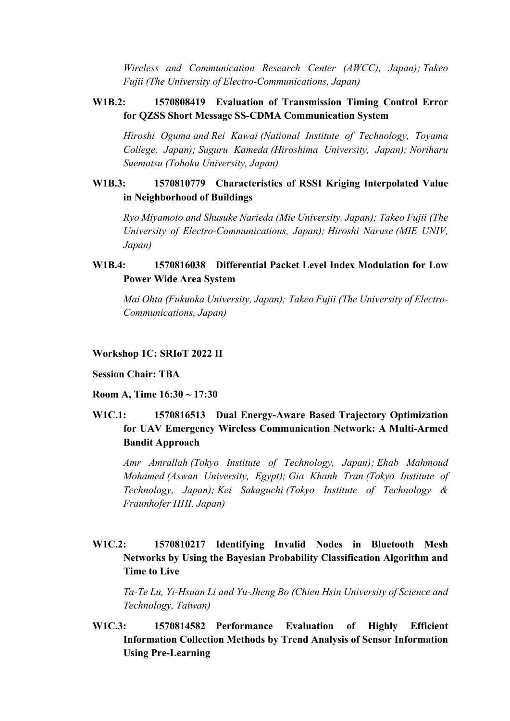*Wireless and Communication Research Center (AWCC), Japan); Takeo Fujii (The University of Electro-Communications, Japan)*

### **W1B.2: 1570808419 Evaluation of Transmission Timing Control Error for QZSS Short Message SS-CDMA Communication System**

*Hiroshi Oguma and Rei Kawai (National Institute of Technology, Toyama College, Japan); Suguru Kameda (Hiroshima University, Japan); Noriharu Suematsu (Tohoku University, Japan)*

# **W1B.3: 1570810779 Characteristics of RSSI Kriging Interpolated Value in Neighborhood of Buildings**

*Ryo Miyamoto and Shusuke Narieda (Mie University, Japan); Takeo Fujii (The University of Electro-Communications, Japan); Hiroshi Naruse (MIE UNIV, Japan)*

# **W1B.4: 1570816038 Differential Packet Level Index Modulation for Low Power Wide Area System**

*Mai Ohta (Fukuoka University, Japan); Takeo Fujii (The University of Electro-Communications, Japan)*

#### **Workshop 1C: SRIoT 2022 II**

#### **Session Chair: TBA**

#### **Room A, Time 16:30 ~ 17:30**

# **W1C.1: 1570816513 Dual Energy-Aware Based Trajectory Optimization for UAV Emergency Wireless Communication Network: A Multi-Armed Bandit Approach**

*Amr Amrallah (Tokyo Institute of Technology, Japan); Ehab Mahmoud Mohamed (Aswan University, Egypt); Gia Khanh Tran (Tokyo Institute of Technology, Japan); Kei Sakaguchi (Tokyo Institute of Technology & Fraunhofer HHI, Japan)*

# **W1C.2: 1570810217 Identifying Invalid Nodes in Bluetooth Mesh Networks by Using the Bayesian Probability Classification Algorithm and Time to Live**

*Ta-Te Lu, Yi-Hsuan Li and Yu-Jheng Bo (Chien Hsin University of Science and Technology, Taiwan)*

# **W1C.3: 1570814582 Performance Evaluation of Highly Efficient Information Collection Methods by Trend Analysis of Sensor Information Using Pre-Learning**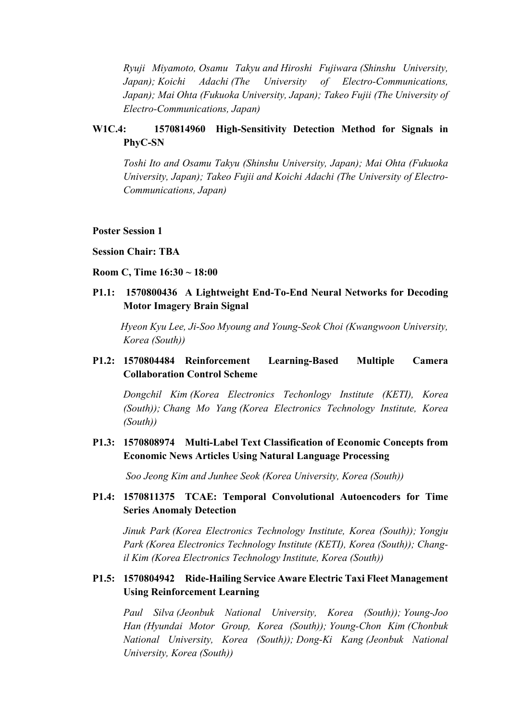*Ryuji Miyamoto, Osamu Takyu and Hiroshi Fujiwara (Shinshu University, Japan); Koichi Adachi (The University of Electro-Communications, Japan); Mai Ohta (Fukuoka University, Japan); Takeo Fujii (The University of Electro-Communications, Japan)*

# **W1C.4: 1570814960 High-Sensitivity Detection Method for Signals in PhyC-SN**

*Toshi Ito and Osamu Takyu (Shinshu University, Japan); Mai Ohta (Fukuoka University, Japan); Takeo Fujii and Koichi Adachi (The University of Electro-Communications, Japan)*

#### **Poster Session 1**

**Session Chair: TBA**

#### **Room C, Time 16:30 ~ 18:00**

**P1.1: 1570800436 A Lightweight End-To-End Neural Networks for Decoding Motor Imagery Brain Signal**

*Hyeon Kyu Lee, Ji-Soo Myoung and Young-Seok Choi (Kwangwoon University, Korea (South))*

# **P1.2: 1570804484 Reinforcement Learning-Based Multiple Camera Collaboration Control Scheme**

*Dongchil Kim (Korea Electronics Techonlogy Institute (KETI), Korea (South)); Chang Mo Yang (Korea Electronics Technology Institute, Korea (South))*

## **P1.3: 1570808974 Multi-Label Text Classification of Economic Concepts from Economic News Articles Using Natural Language Processing**

*Soo Jeong Kim and Junhee Seok (Korea University, Korea (South))*

### **P1.4: 1570811375 TCAE: Temporal Convolutional Autoencoders for Time Series Anomaly Detection**

*Jinuk Park (Korea Electronics Technology Institute, Korea (South)); Yongju Park (Korea Electronics Technology Institute (KETI), Korea (South)); Changil Kim (Korea Electronics Technology Institute, Korea (South))*

# **P1.5: 1570804942 Ride-Hailing Service Aware Electric Taxi Fleet Management Using Reinforcement Learning**

*Paul Silva (Jeonbuk National University, Korea (South)); Young-Joo Han (Hyundai Motor Group, Korea (South)); Young-Chon Kim (Chonbuk National University, Korea (South)); Dong-Ki Kang (Jeonbuk National University, Korea (South))*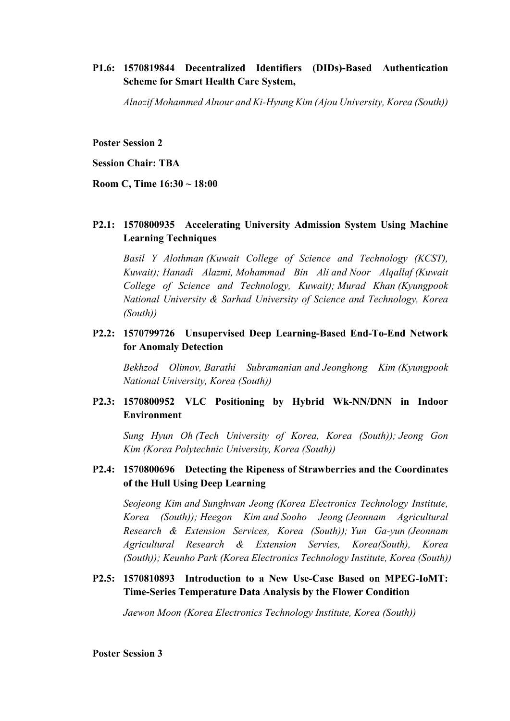# **P1.6: 1570819844 Decentralized Identifiers (DIDs)-Based Authentication Scheme for Smart Health Care System,**

*Alnazif Mohammed Alnour and Ki-Hyung Kim (Ajou University, Korea (South))*

**Poster Session 2**

**Session Chair: TBA**

**Room C, Time 16:30 ~ 18:00**

## **P2.1: 1570800935 Accelerating University Admission System Using Machine Learning Techniques**

*Basil Y Alothman (Kuwait College of Science and Technology (KCST), Kuwait); Hanadi Alazmi, Mohammad Bin Ali and Noor Alqallaf (Kuwait College of Science and Technology, Kuwait); Murad Khan (Kyungpook National University & Sarhad University of Science and Technology, Korea (South))*

# **P2.2: 1570799726 Unsupervised Deep Learning-Based End-To-End Network for Anomaly Detection**

*Bekhzod Olimov, Barathi Subramanian and Jeonghong Kim (Kyungpook National University, Korea (South))*

## **P2.3: 1570800952 VLC Positioning by Hybrid Wk-NN/DNN in Indoor Environment**

*Sung Hyun Oh (Tech University of Korea, Korea (South)); Jeong Gon Kim (Korea Polytechnic University, Korea (South))*

## **P2.4: 1570800696 Detecting the Ripeness of Strawberries and the Coordinates of the Hull Using Deep Learning**

*Seojeong Kim and Sunghwan Jeong (Korea Electronics Technology Institute, Korea (South)); Heegon Kim and Sooho Jeong (Jeonnam Agricultural Research & Extension Services, Korea (South)); Yun Ga-yun (Jeonnam Agricultural Research & Extension Servies, Korea(South), Korea (South)); Keunho Park (Korea Electronics Technology Institute, Korea (South))*

## **P2.5: 1570810893 Introduction to a New Use-Case Based on MPEG-IoMT: Time-Series Temperature Data Analysis by the Flower Condition**

*Jaewon Moon (Korea Electronics Technology Institute, Korea (South))*

**Poster Session 3**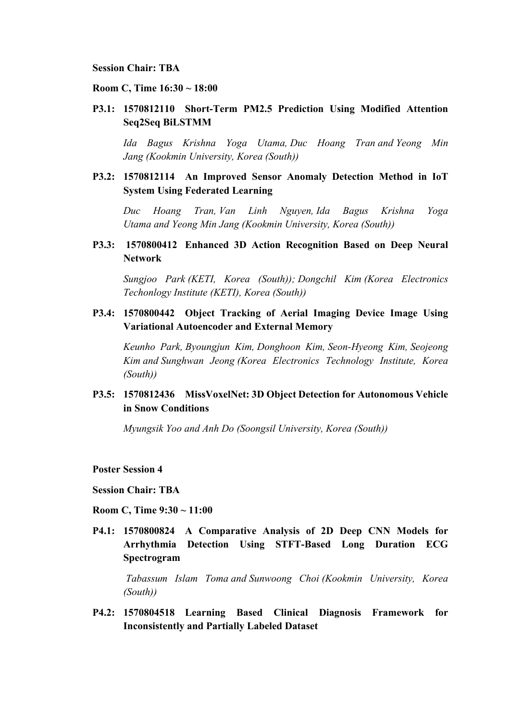#### **Session Chair: TBA**

#### **Room C, Time 16:30 ~ 18:00**

**P3.1: 1570812110 Short-Term PM2.5 Prediction Using Modified Attention Seq2Seq BiLSTMM** 

*Ida Bagus Krishna Yoga Utama, Duc Hoang Tran and Yeong Min Jang (Kookmin University, Korea (South))*

# **P3.2: 1570812114 An Improved Sensor Anomaly Detection Method in IoT System Using Federated Learning**

*Duc Hoang Tran, Van Linh Nguyen, Ida Bagus Krishna Yoga Utama and Yeong Min Jang (Kookmin University, Korea (South))*

### **P3.3: 1570800412 Enhanced 3D Action Recognition Based on Deep Neural Network**

*Sungjoo Park (KETI, Korea (South)); Dongchil Kim (Korea Electronics Techonlogy Institute (KETI), Korea (South))*

## **P3.4: 1570800442 Object Tracking of Aerial Imaging Device Image Using Variational Autoencoder and External Memory**

*Keunho Park, Byoungjun Kim, Donghoon Kim, Seon-Hyeong Kim, Seojeong Kim and Sunghwan Jeong (Korea Electronics Technology Institute, Korea (South))*

## **P3.5: 1570812436 MissVoxelNet: 3D Object Detection for Autonomous Vehicle in Snow Conditions**

*Myungsik Yoo and Anh Do (Soongsil University, Korea (South))*

#### **Poster Session 4**

#### **Session Chair: TBA**

#### **Room C, Time 9:30 ~ 11:00**

**P4.1: 1570800824 A Comparative Analysis of 2D Deep CNN Models for Arrhythmia Detection Using STFT-Based Long Duration ECG Spectrogram**

*Tabassum Islam Toma and Sunwoong Choi (Kookmin University, Korea (South))*

**P4.2: 1570804518 Learning Based Clinical Diagnosis Framework for Inconsistently and Partially Labeled Dataset**